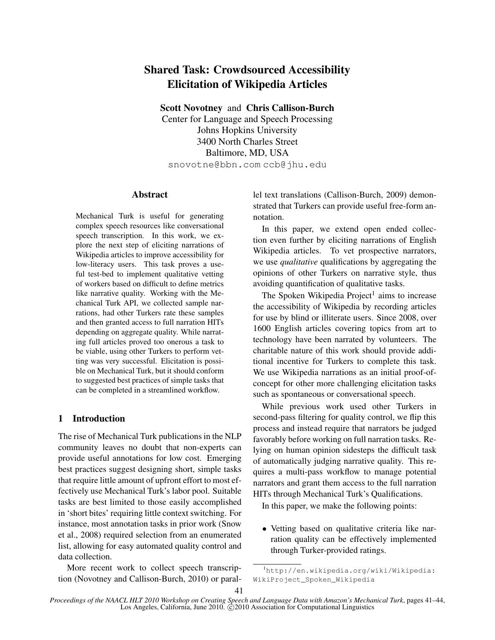# Shared Task: Crowdsourced Accessibility Elicitation of Wikipedia Articles

Scott Novotney and Chris Callison-Burch Center for Language and Speech Processing Johns Hopkins University 3400 North Charles Street Baltimore, MD, USA snovotne@bbn.com ccb@jhu.edu

## Abstract

Mechanical Turk is useful for generating complex speech resources like conversational speech transcription. In this work, we explore the next step of eliciting narrations of Wikipedia articles to improve accessibility for low-literacy users. This task proves a useful test-bed to implement qualitative vetting of workers based on difficult to define metrics like narrative quality. Working with the Mechanical Turk API, we collected sample narrations, had other Turkers rate these samples and then granted access to full narration HITs depending on aggregate quality. While narrating full articles proved too onerous a task to be viable, using other Turkers to perform vetting was very successful. Elicitation is possible on Mechanical Turk, but it should conform to suggested best practices of simple tasks that can be completed in a streamlined workflow.

## 1 Introduction

The rise of Mechanical Turk publications in the NLP community leaves no doubt that non-experts can provide useful annotations for low cost. Emerging best practices suggest designing short, simple tasks that require little amount of upfront effort to most effectively use Mechanical Turk's labor pool. Suitable tasks are best limited to those easily accomplished in 'short bites' requiring little context switching. For instance, most annotation tasks in prior work (Snow et al., 2008) required selection from an enumerated list, allowing for easy automated quality control and data collection.

More recent work to collect speech transcription (Novotney and Callison-Burch, 2010) or parallel text translations (Callison-Burch, 2009) demonstrated that Turkers can provide useful free-form annotation.

In this paper, we extend open ended collection even further by eliciting narrations of English Wikipedia articles. To vet prospective narrators, we use *qualitative* qualifications by aggregating the opinions of other Turkers on narrative style, thus avoiding quantification of qualitative tasks.

The Spoken Wikipedia Project<sup>1</sup> aims to increase the accessibility of Wikipedia by recording articles for use by blind or illiterate users. Since 2008, over 1600 English articles covering topics from art to technology have been narrated by volunteers. The charitable nature of this work should provide additional incentive for Turkers to complete this task. We use Wikipedia narrations as an initial proof-ofconcept for other more challenging elicitation tasks such as spontaneous or conversational speech.

While previous work used other Turkers in second-pass filtering for quality control, we flip this process and instead require that narrators be judged favorably before working on full narration tasks. Relying on human opinion sidesteps the difficult task of automatically judging narrative quality. This requires a multi-pass workflow to manage potential narrators and grant them access to the full narration HITs through Mechanical Turk's Qualifications.

In this paper, we make the following points:

• Vetting based on qualitative criteria like narration quality can be effectively implemented through Turker-provided ratings.

<sup>1</sup> http://en.wikipedia.org/wiki/Wikipedia: WikiProject\_Spoken\_Wikipedia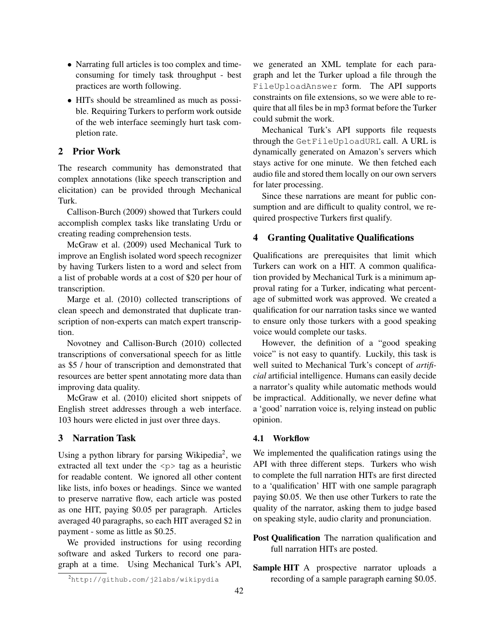- Narrating full articles is too complex and timeconsuming for timely task throughput - best practices are worth following.
- HITs should be streamlined as much as possible. Requiring Turkers to perform work outside of the web interface seemingly hurt task completion rate.

# 2 Prior Work

The research community has demonstrated that complex annotations (like speech transcription and elicitation) can be provided through Mechanical Turk.

Callison-Burch (2009) showed that Turkers could accomplish complex tasks like translating Urdu or creating reading comprehension tests.

McGraw et al. (2009) used Mechanical Turk to improve an English isolated word speech recognizer by having Turkers listen to a word and select from a list of probable words at a cost of \$20 per hour of transcription.

Marge et al. (2010) collected transcriptions of clean speech and demonstrated that duplicate transcription of non-experts can match expert transcription.

Novotney and Callison-Burch (2010) collected transcriptions of conversational speech for as little as \$5 / hour of transcription and demonstrated that resources are better spent annotating more data than improving data quality.

McGraw et al. (2010) elicited short snippets of English street addresses through a web interface. 103 hours were elicted in just over three days.

## 3 Narration Task

Using a python library for parsing Wikipedia<sup>2</sup>, we extracted all text under the  $\langle p \rangle$  tag as a heuristic for readable content. We ignored all other content like lists, info boxes or headings. Since we wanted to preserve narrative flow, each article was posted as one HIT, paying \$0.05 per paragraph. Articles averaged 40 paragraphs, so each HIT averaged \$2 in payment - some as little as \$0.25.

We provided instructions for using recording software and asked Turkers to record one paragraph at a time. Using Mechanical Turk's API,

we generated an XML template for each paragraph and let the Turker upload a file through the FileUploadAnswer form. The API supports constraints on file extensions, so we were able to require that all files be in mp3 format before the Turker could submit the work.

Mechanical Turk's API supports file requests through the GetFileUploadURL call. A URL is dynamically generated on Amazon's servers which stays active for one minute. We then fetched each audio file and stored them locally on our own servers for later processing.

Since these narrations are meant for public consumption and are difficult to quality control, we required prospective Turkers first qualify.

# 4 Granting Qualitative Qualifications

Qualifications are prerequisites that limit which Turkers can work on a HIT. A common qualification provided by Mechanical Turk is a minimum approval rating for a Turker, indicating what percentage of submitted work was approved. We created a qualification for our narration tasks since we wanted to ensure only those turkers with a good speaking voice would complete our tasks.

However, the definition of a "good speaking voice" is not easy to quantify. Luckily, this task is well suited to Mechanical Turk's concept of *artificial* artificial intelligence. Humans can easily decide a narrator's quality while automatic methods would be impractical. Additionally, we never define what a 'good' narration voice is, relying instead on public opinion.

#### 4.1 Workflow

We implemented the qualification ratings using the API with three different steps. Turkers who wish to complete the full narration HITs are first directed to a 'qualification' HIT with one sample paragraph paying \$0.05. We then use other Turkers to rate the quality of the narrator, asking them to judge based on speaking style, audio clarity and pronunciation.

- Post Qualification The narration qualification and full narration HITs are posted.
- Sample HIT A prospective narrator uploads a recording of a sample paragraph earning \$0.05.

<sup>2</sup> http://github.com/j2labs/wikipydia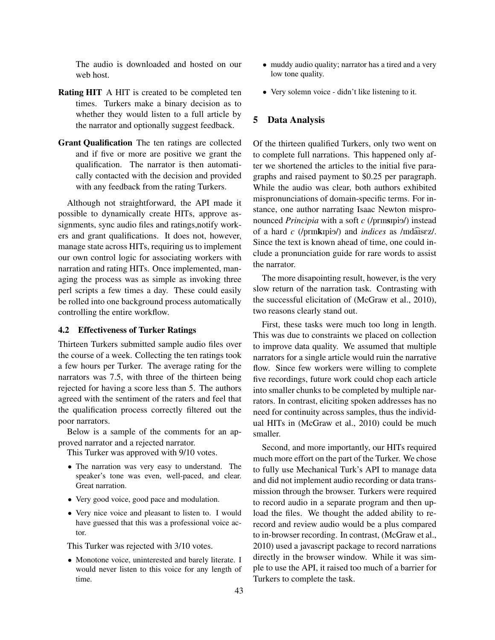The audio is downloaded and hosted on our web host.

- Rating HIT A HIT is created to be completed ten times. Turkers make a binary decision as to whether they would listen to a full article by the narrator and optionally suggest feedback.
- Grant Qualification The ten ratings are collected and if five or more are positive we grant the qualification. The narrator is then automatically contacted with the decision and provided with any feedback from the rating Turkers.

Although not straightforward, the API made it possible to dynamically create HITs, approve assignments, sync audio files and ratings,notify workers and grant qualifications. It does not, however, manage state across HITs, requiring us to implement our own control logic for associating workers with narration and rating HITs. Once implemented, managing the process was as simple as invoking three perl scripts a few times a day. These could easily be rolled into one background process automatically controlling the entire workflow.

## 4.2 Effectiveness of Turker Ratings

Thirteen Turkers submitted sample audio files over the course of a week. Collecting the ten ratings took a few hours per Turker. The average rating for the narrators was 7.5, with three of the thirteen being rejected for having a score less than 5. The authors agreed with the sentiment of the raters and feel that the qualification process correctly filtered out the poor narrators.

Below is a sample of the comments for an approved narrator and a rejected narrator.

This Turker was approved with 9/10 votes.

- *•* The narration was very easy to understand. The speaker's tone was even, well-paced, and clear. Great narration.
- Very good voice, good pace and modulation.
- *•* Very nice voice and pleasant to listen to. I would have guessed that this was a professional voice actor.

This Turker was rejected with 3/10 votes.

*•* Monotone voice, uninterested and barely literate. I would never listen to this voice for any length of time.

- *•* muddy audio quality; narrator has a tired and a very low tone quality.
- Very solemn voice didn't like listening to it.

## 5 Data Analysis

Of the thirteen qualified Turkers, only two went on to complete full narrations. This happened only after we shortened the articles to the initial five paragraphs and raised payment to \$0.25 per paragraph. While the audio was clear, both authors exhibited mispronunciations of domain-specific terms. For instance, one author narrating Isaac Newton mispronounced *Principia* with a soft *c* (/prinsipis/) instead of a hard *c* (/prinkipi>/) and *indices* as /indaisez/. Since the text is known ahead of time, one could include a pronunciation guide for rare words to assist the narrator.

The more disapointing result, however, is the very slow return of the narration task. Contrasting with the successful elicitation of (McGraw et al., 2010), two reasons clearly stand out.

First, these tasks were much too long in length. This was due to constraints we placed on collection to improve data quality. We assumed that multiple narrators for a single article would ruin the narrative flow. Since few workers were willing to complete five recordings, future work could chop each article into smaller chunks to be completed by multiple narrators. In contrast, eliciting spoken addresses has no need for continuity across samples, thus the individual HITs in (McGraw et al., 2010) could be much smaller.

Second, and more importantly, our HITs required much more effort on the part of the Turker. We chose to fully use Mechanical Turk's API to manage data and did not implement audio recording or data transmission through the browser. Turkers were required to record audio in a separate program and then upload the files. We thought the added ability to rerecord and review audio would be a plus compared to in-browser recording. In contrast, (McGraw et al., 2010) used a javascript package to record narrations directly in the browser window. While it was simple to use the API, it raised too much of a barrier for Turkers to complete the task.